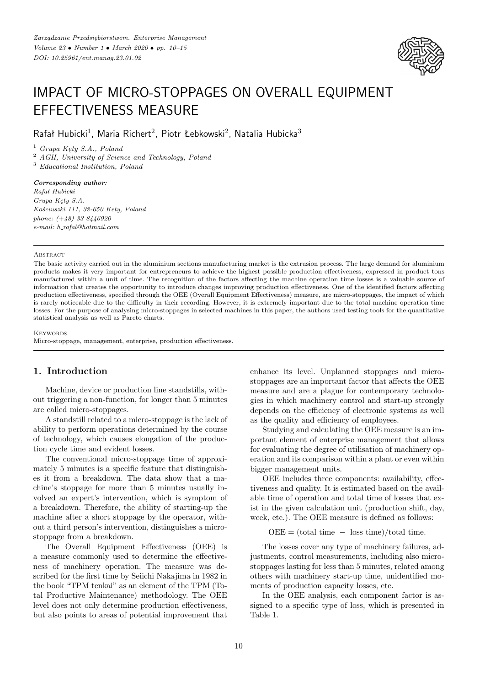

# IMPACT OF MICRO-STOPPAGES ON OVERALL EQUIPMENT EFFECTIVENESS MEASURE

 $R$ afał Hubicki<sup>1</sup>, Maria Richert<sup>2</sup>, Piotr Łebkowski<sup>2</sup>, Natalia Hubicka<sup>3</sup>

<sup>1</sup> *Grupa Kęty S.A., Poland*

<sup>2</sup> *AGH, University of Science and Technology, Poland*

<sup>3</sup> *Educational Institution, Poland*

#### *Corresponding author:*

*Rafał Hubicki Grupa Kęty S.A. Kościuszki 111, 32-650 Kety, Poland phone: (*+*48) 33 8446920 e-mail: h rafal@hotmail.com*

#### **ABSTRACT**

The basic activity carried out in the aluminium sections manufacturing market is the extrusion process. The large demand for aluminium products makes it very important for entrepreneurs to achieve the highest possible production effectiveness, expressed in product tons manufactured within a unit of time. The recognition of the factors affecting the machine operation time losses is a valuable source of information that creates the opportunity to introduce changes improving production effectiveness. One of the identified factors affecting production effectiveness, specified through the OEE (Overall Equipment Effectiveness) measure, are micro-stoppages, the impact of which is rarely noticeable due to the difficulty in their recording. However, it is extremely important due to the total machine operation time losses. For the purpose of analysing micro-stoppages in selected machines in this paper, the authors used testing tools for the quantitative statistical analysis as well as Pareto charts.

**KEYWORDS** 

Micro-stoppage, management, enterprise, production effectiveness.

# **1. Introduction**

Machine, device or production line standstills, without triggering a non-function, for longer than 5 minutes are called micro-stoppages.

A standstill related to a micro-stoppage is the lack of ability to perform operations determined by the course of technology, which causes elongation of the production cycle time and evident losses.

The conventional micro-stoppage time of approximately 5 minutes is a specific feature that distinguishes it from a breakdown. The data show that a machine's stoppage for more than 5 minutes usually involved an expert's intervention, which is symptom of a breakdown. Therefore, the ability of starting-up the machine after a short stoppage by the operator, without a third person's intervention, distinguishes a microstoppage from a breakdown.

The Overall Equipment Effectiveness (OEE) is a measure commonly used to determine the effectiveness of machinery operation. The measure was described for the first time by Seiichi Nakajima in 1982 in the book "TPM tenkai" as an element of the TPM (Total Productive Maintenance) methodology. The OEE level does not only determine production effectiveness, but also points to areas of potential improvement that enhance its level. Unplanned stoppages and microstoppages are an important factor that affects the OEE measure and are a plague for contemporary technologies in which machinery control and start-up strongly depends on the efficiency of electronic systems as well as the quality and efficiency of employees.

Studying and calculating the OEE measure is an important element of enterprise management that allows for evaluating the degree of utilisation of machinery operation and its comparison within a plant or even within bigger management units.

OEE includes three components: availability, effectiveness and quality. It is estimated based on the available time of operation and total time of losses that exist in the given calculation unit (production shift, day, week, etc.). The OEE measure is defined as follows:

 $OEE = (total time - loss time)/total time.$ 

The losses cover any type of machinery failures, adjustments, control measurements, including also microstoppages lasting for less than 5 minutes, related among others with machinery start-up time, unidentified moments of production capacity losses, etc.

In the OEE analysis, each component factor is assigned to a specific type of loss, which is presented in Table 1.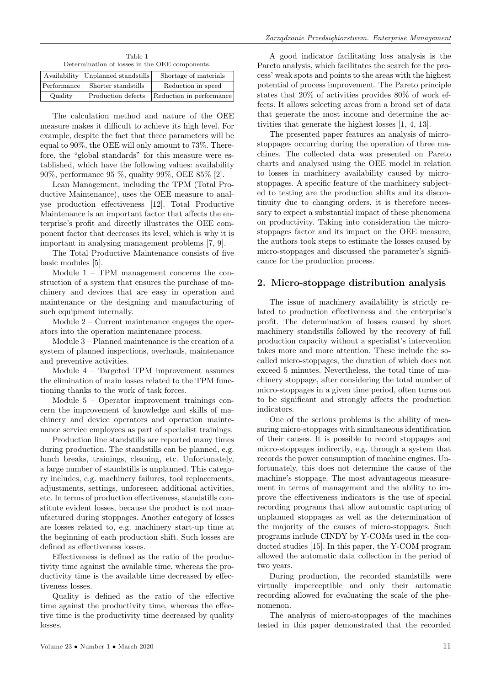Table 1 Determination of losses in the OEE components.

|             | Availability   Unplanned standstills | Shortage of materials    |
|-------------|--------------------------------------|--------------------------|
| Performance | Shorter standstills                  | Reduction in speed       |
| Quality     | Production defects                   | Reduction in performance |

The calculation method and nature of the OEE measure makes it difficult to achieve its high level. For example, despite the fact that three parameters will be equal to 90%, the OEE will only amount to 73%. Therefore, the "global standards" for this measure were established, which have the following values: availability 90%, performance 95 %, quality 99%, OEE 85% [2].

Lean Management, including the TPM (Total Productive Maintenance), uses the OEE measure to analyse production effectiveness [12]. Total Productive Maintenance is an important factor that affects the enterprise's profit and directly illustrates the OEE component factor that decreases its level, which is why it is important in analysing management problems [7, 9].

The Total Productive Maintenance consists of five basic modules [5].

Module 1 – TPM management concerns the construction of a system that ensures the purchase of machinery and devices that are easy in operation and maintenance or the designing and manufacturing of such equipment internally.

Module 2 – Current maintenance engages the operators into the operation maintenance process.

Module 3 – Planned maintenance is the creation of a system of planned inspections, overhauls, maintenance and preventive activities.

Module 4 – Targeted TPM improvement assumes the elimination of main losses related to the TPM functioning thanks to the work of task forces.

Module 5 – Operator improvement trainings concern the improvement of knowledge and skills of machinery and device operators and operation maintenance service employees as part of specialist trainings.

Production line standstills are reported many times during production. The standstills can be planned, e.g. lunch breaks, trainings, cleaning, etc. Unfortunately, a large number of standstills is unplanned. This category includes, e.g. machinery failures, tool replacements, adjustments, settings, unforeseen additional activities, etc. In terms of production effectiveness, standstills constitute evident losses, because the product is not manufactured during stoppages. Another category of losses are losses related to, e.g. machinery start-up time at the beginning of each production shift. Such losses are defined as effectiveness losses.

Effectiveness is defined as the ratio of the productivity time against the available time, whereas the productivity time is the available time decreased by effectiveness losses.

Quality is defined as the ratio of the effective time against the productivity time, whereas the effective time is the productivity time decreased by quality losses.

A good indicator facilitating loss analysis is the Pareto analysis, which facilitates the search for the process' weak spots and points to the areas with the highest potential of process improvement. The Pareto principle states that 20% of activities provides 80% of work effects. It allows selecting areas from a broad set of data that generate the most income and determine the activities that generate the highest losses [1, 4, 13].

The presented paper features an analysis of microstoppages occurring during the operation of three machines. The collected data was presented on Pareto charts and analysed using the OEE model in relation to losses in machinery availability caused by microstoppages. A specific feature of the machinery subjected to testing are the production shifts and its discontinuity due to changing orders, it is therefore necessary to expect a substantial impact of these phenomena on productivity. Taking into consideration the microstoppages factor and its impact on the OEE measure, the authors took steps to estimate the losses caused by micro-stoppages and discussed the parameter's significance for the production process.

# **2. Micro-stoppage distribution analysis**

The issue of machinery availability is strictly related to production effectiveness and the enterprise's profit. The determination of losses caused by short machinery standstills followed by the recovery of full production capacity without a specialist's intervention takes more and more attention. These include the socalled micro-stoppages, the duration of which does not exceed 5 minutes. Nevertheless, the total time of machinery stoppage, after considering the total number of micro-stoppages in a given time period, often turns out to be significant and strongly affects the production indicators.

One of the serious problems is the ability of measuring micro-stoppages with simultaneous identification of their causes. It is possible to record stoppages and micro-stoppages indirectly, e.g. through a system that records the power consumption of machine engines. Unfortunately, this does not determine the cause of the machine's stoppage. The most advantageous measurement in terms of management and the ability to improve the effectiveness indicators is the use of special recording programs that allow automatic capturing of unplanned stoppages as well as the determination of the majority of the causes of micro-stoppages. Such programs include CINDY by Y-COMs used in the conducted studies [15]. In this paper, the Y-COM program allowed the automatic data collection in the period of two years.

During production, the recorded standstills were virtually imperceptible and only their automatic recording allowed for evaluating the scale of the phenomenon.

The analysis of micro-stoppages of the machines tested in this paper demonstrated that the recorded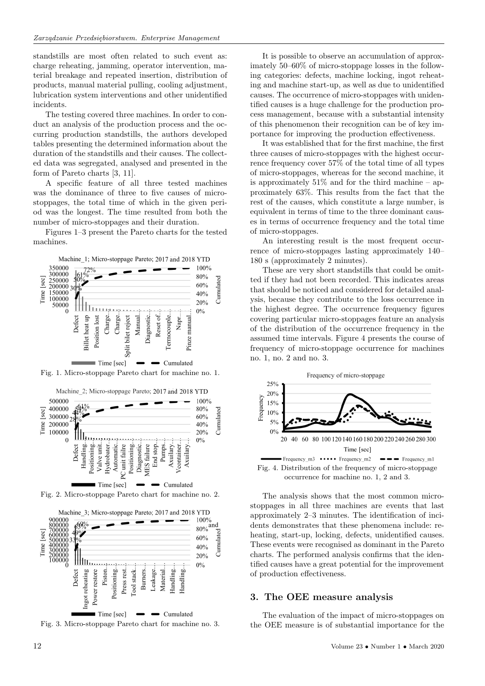standstills are most often related to such event as: charge reheating, jamming, operator intervention, material breakage and repeated insertion, distribution of products, manual material pulling, cooling adjustment, lubrication system interventions and other unidentified incidents.

The testing covered three machines. In order to conduct an analysis of the production process and the occurring production standstills, the authors developed tables presenting the determined information about the duration of the standstills and their causes. The collected data was segregated, analysed and presented in the form of Pareto charts [3, 11].

A specific feature of all three tested machines was the dominance of three to five causes of microstoppages, the total time of which in the given period was the longest. The time resulted from both the number of micro-stoppages and their duration.

Figures 1–3 present the Pareto charts for the tested machines.



Fig. 1. Micro-stoppage Pareto chart for machine no. 1.



Fig. 2. Micro-stoppage Pareto chart for machine no. 2.



Fig. 3. Micro-stoppage Pareto chart for machine no. 3.

It is possible to observe an accumulation of approximately 50–60% of micro-stoppage losses in the following categories: defects, machine locking, ingot reheating and machine start-up, as well as due to unidentified causes. The occurrence of micro-stoppages with unidentified causes is a huge challenge for the production process management, because with a substantial intensity of this phenomenon their recognition can be of key importance for improving the production effectiveness.

It was established that for the first machine, the first three causes of micro-stoppages with the highest occurrence frequency cover 57% of the total time of all types of micro-stoppages, whereas for the second machine, it is approximately  $51\%$  and for the third machine – approximately 63%. This results from the fact that the rest of the causes, which constitute a large number, is equivalent in terms of time to the three dominant causes in terms of occurrence frequency and the total time of micro-stoppages.

An interesting result is the most frequent occurrence of micro-stoppages lasting approximately 140– 180 s (approximately 2 minutes).

These are very short standstills that could be omitted if they had not been recorded. This indicates areas that should be noticed and considered for detailed analysis, because they contribute to the loss occurrence in the highest degree. The occurrence frequency figures covering particular micro-stoppages feature an analysis of the distribution of the occurrence frequency in the assumed time intervals. Figure 4 presents the course of frequency of micro-stoppage occurrence for machines no. 1, no. 2 and no. 3.



The analysis shows that the most common microstoppages in all three machines are events that last approximately 2–3 minutes. The identification of incidents demonstrates that these phenomena include: reheating, start-up, locking, defects, unidentified causes. These events were recognised as dominant in the Pareto charts. The performed analysis confirms that the identified causes have a great potential for the improvement of production effectiveness.

#### **3. The OEE measure analysis**

The evaluation of the impact of micro-stoppages on the OEE measure is of substantial importance for the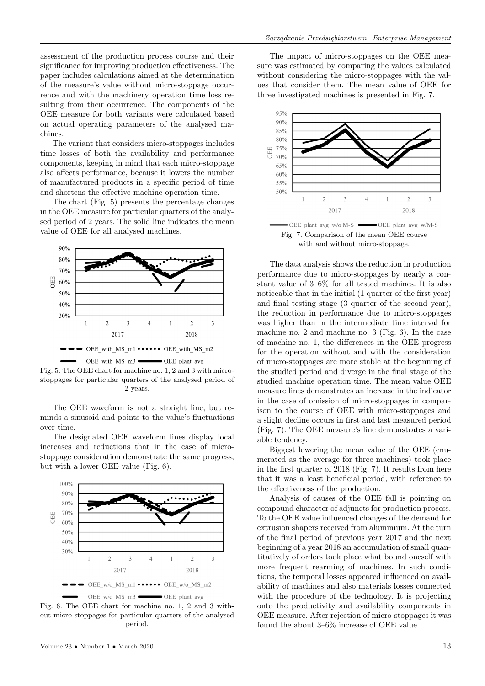assessment of the production process course and their significance for improving production effectiveness. The paper includes calculations aimed at the determination of the measure's value without micro-stoppage occurrence and with the machinery operation time loss resulting from their occurrence. The components of the OEE measure for both variants were calculated based on actual operating parameters of the analysed machines.

The variant that considers micro-stoppages includes time losses of both the availability and performance components, keeping in mind that each micro-stoppage also affects performance, because it lowers the number of manufactured products in a specific period of time and shortens the effective machine operation time.

The chart (Fig. 5) presents the percentage changes in the OEE measure for particular quarters of the analysed period of 2 years. The solid line indicates the mean value of OEE for all analysed machines.



Fig. 5. The OEE chart for machine no. 1, 2 and 3 with microstoppages for particular quarters of the analysed period of 2 years.

The OEE waveform is not a straight line, but reminds a sinusoid and points to the value's fluctuations over time.

The designated OEE waveform lines display local increases and reductions that in the case of microstoppage consideration demonstrate the same progress, but with a lower OEE value (Fig. 6).



Fig. 6. The OEE chart for machine no. 1, 2 and 3 without micro-stoppages for particular quarters of the analysed period.

The impact of micro-stoppages on the OEE measure was estimated by comparing the values calculated without considering the micro-stoppages with the values that consider them. The mean value of OEE for three investigated machines is presented in Fig. 7.



Fig. 7. Comparison of the mean OEE course with and without micro-stoppage.

The data analysis shows the reduction in production performance due to micro-stoppages by nearly a constant value of 3–6% for all tested machines. It is also noticeable that in the initial (1 quarter of the first year) and final testing stage (3 quarter of the second year), the reduction in performance due to micro-stoppages was higher than in the intermediate time interval for machine no. 2 and machine no. 3 (Fig. 6). In the case of machine no. 1, the differences in the OEE progress for the operation without and with the consideration of micro-stoppages are more stable at the beginning of the studied period and diverge in the final stage of the studied machine operation time. The mean value OEE measure lines demonstrates an increase in the indicator in the case of omission of micro-stoppages in comparison to the course of OEE with micro-stoppages and a slight decline occurs in first and last measured period (Fig. 7). The OEE measure's line demonstrates a variable tendency.

Biggest lowering the mean value of the OEE (enumerated as the average for three machines) took place in the first quarter of 2018 (Fig. 7). It results from here that it was a least beneficial period, with reference to the effectiveness of the production.

Analysis of causes of the OEE fall is pointing on compound character of adjuncts for production process. To the OEE value influenced changes of the demand for extrusion shapers received from aluminium. At the turn of the final period of previous year 2017 and the next beginning of a year 2018 an accumulation of small quantitatively of orders took place what bound oneself with more frequent rearming of machines. In such conditions, the temporal losses appeared influenced on availability of machines and also materials losses connected with the procedure of the technology. It is projecting onto the productivity and availability components in OEE measure. After rejection of micro-stoppages it was found the about 3–6% increase of OEE value.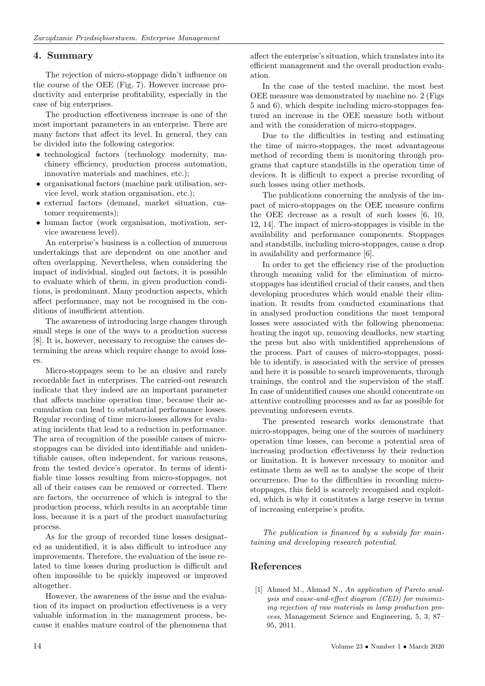#### **4. Summary**

The rejection of micro-stoppage didn't influence on the course of the OEE (Fig. 7). However increase productivity and enterprise profitability, especially in the case of big enterprises.

The production effectiveness increase is one of the most important parameters in an enterprise. There are many factors that affect its level. In general, they can be divided into the following categories:

- technological factors (technology modernity, machinery efficiency, production process automation, innovative materials and machines, etc.);
- organisational factors (machine park utilisation, service level, work station organisation, etc.);
- external factors (demand, market situation, customer requirements);
- human factor (work organisation, motivation, service awareness level).

An enterprise's business is a collection of numerous undertakings that are dependent on one another and often overlapping. Nevertheless, when considering the impact of individual, singled out factors, it is possible to evaluate which of them, in given production conditions, is predominant. Many production aspects, which affect performance, may not be recognised in the conditions of insufficient attention.

The awareness of introducing large changes through small steps is one of the ways to a production success [8]. It is, however, necessary to recognise the causes determining the areas which require change to avoid losses.

Micro-stoppages seem to be an elusive and rarely recordable fact in enterprises. The carried-out research indicate that they indeed are an important parameter that affects machine operation time, because their accumulation can lead to substantial performance losses. Regular recording of time micro-losses allows for evaluating incidents that lead to a reduction in performance. The area of recognition of the possible causes of microstoppages can be divided into identifiable and unidentifiable causes, often independent, for various reasons, from the tested device's operator. In terms of identifiable time losses resulting from micro-stoppages, not all of their causes can be removed or corrected. There are factors, the occurrence of which is integral to the production process, which results in an acceptable time loss, because it is a part of the product manufacturing process.

As for the group of recorded time losses designated as unidentified, it is also difficult to introduce any improvements. Therefore, the evaluation of the issue related to time losses during production is difficult and often impossible to be quickly improved or improved altogether.

However, the awareness of the issue and the evaluation of its impact on production effectiveness is a very valuable information in the management process, because it enables mature control of the phenomena that affect the enterprise's situation, which translates into its efficient management and the overall production evaluation.

In the case of the tested machine, the most best OEE measure was demonstrated by machine no. 2 (Figs 5 and 6), which despite including micro-stoppages featured an increase in the OEE measure both without and with the consideration of micro-stoppages.

Due to the difficulties in testing and estimating the time of micro-stoppages, the most advantageous method of recording them is monitoring through programs that capture standstills in the operation time of devices. It is difficult to expect a precise recording of such losses using other methods.

The publications concerning the analysis of the impact of micro-stoppages on the OEE measure confirm the OEE decrease as a result of such losses [6, 10, 12, 14]. The impact of micro-stoppages is visible in the availability and performance components. Stoppages and standstills, including micro-stoppages, cause a drop in availability and performance [6].

In order to get the efficiency rise of the production through meaning valid for the elimination of microstoppages has identified crucial of their causes, and then developing procedures which would enable their elimination. It results from conducted examinations that in analysed production conditions the most temporal losses were associated with the following phenomena: heating the ingot up, removing deadlocks, new starting the press but also with unidentified apprehensions of the process. Part of causes of micro-stoppages, possible to identify, is associated with the service of presses and here it is possible to search improvements, through trainings, the control and the supervision of the staff. In case of unidentified causes one should concentrate on attentive controlling processes and as far as possible for preventing unforeseen events.

The presented research works demonstrate that micro-stoppages, being one of the sources of machinery operation time losses, can become a potential area of increasing production effectiveness by their reduction or limitation. It is however necessary to monitor and estimate them as well as to analyse the scope of their occurrence. Due to the difficulties in recording microstoppages, this field is scarcely recognised and exploited, which is why it constitutes a large reserve in terms of increasing enterprise's profits.

*The publication is financed by a subsidy for maintaining and developing research potential.*

# **References**

[1] Ahmed M., Ahmad N., *An application of Pareto analysis and cause-and-effect diagram (CED) for minimizing rejection of raw materials in lamp production process*, Management Science and Engineering, 5, 3, 87– 95, 2011.